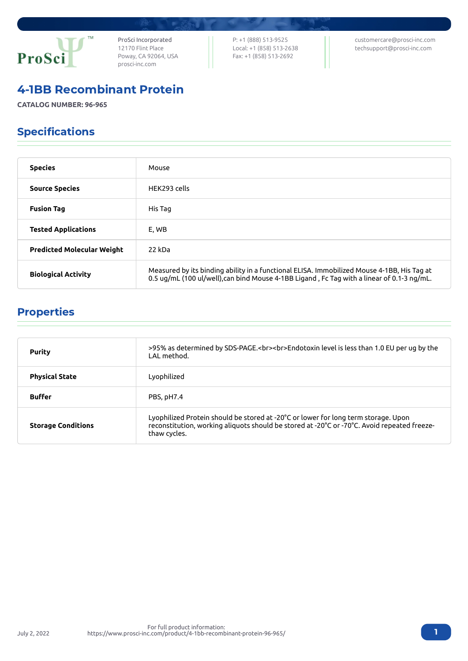

ProSci Incorporated 12170 Flint Place Poway, CA 92064, USA [prosci-inc.com](https://prosci-inc.com/)

P: +1 (888) 513-9525 Local: +1 (858) 513-2638 Fax: +1 (858) 513-2692

[customercare@prosci-inc.com](mailto:customercare@prosci-inc.com) [techsupport@prosci-inc.com](mailto:techsupport@prosci-inc.com)

## 4-1BB Recombinant Protein

**CATALOG NUMBER: 96-965**

# Specifications

| <b>Species</b>                    | Mouse                                                                                                                                                                                    |
|-----------------------------------|------------------------------------------------------------------------------------------------------------------------------------------------------------------------------------------|
| <b>Source Species</b>             | HFK293 cells                                                                                                                                                                             |
| <b>Fusion Tag</b>                 | His Tag                                                                                                                                                                                  |
| <b>Tested Applications</b>        | E, WB                                                                                                                                                                                    |
| <b>Predicted Molecular Weight</b> | 22 kDa                                                                                                                                                                                   |
| <b>Biological Activity</b>        | Measured by its binding ability in a functional ELISA. Immobilized Mouse 4-1BB, His Tag at<br>0.5 ug/mL (100 ul/well), can bind Mouse 4-1BB Ligand, Fc Tag with a linear of 0.1-3 ng/mL. |

# Properties

| <b>Purity</b>             | >95% as determined by SDS-PAGE.<br><br>>>Endotoxin level is less than 1.0 EU per ug by the<br>LAL method.                                                                                         |
|---------------------------|---------------------------------------------------------------------------------------------------------------------------------------------------------------------------------------------------|
| <b>Physical State</b>     | Lyophilized                                                                                                                                                                                       |
| <b>Buffer</b>             | PBS, pH7.4                                                                                                                                                                                        |
| <b>Storage Conditions</b> | Lyophilized Protein should be stored at -20°C or lower for long term storage. Upon<br>reconstitution, working aliquots should be stored at -20°C or -70°C. Avoid repeated freeze-<br>thaw cycles. |